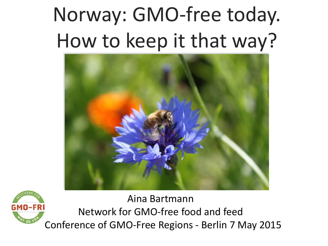# Norway: GMO-free today. How to keep it that way?





Aina Bartmann Network for GMO-free food and feed Conference of GMO-Free Regions - Berlin 7 May 2015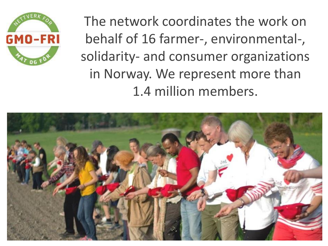

The network coordinates the work on behalf of 16 farmer-, environmental-, solidarity- and consumer organizations in Norway. We represent more than 1.4 million members.

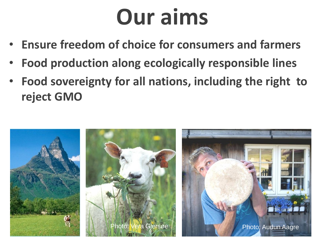# **Our aims**

- **Ensure freedom of choice for consumers and farmers**
- **Food production along ecologically responsible lines**
- **Food sovereignty for all nations, including the right to reject GMO**

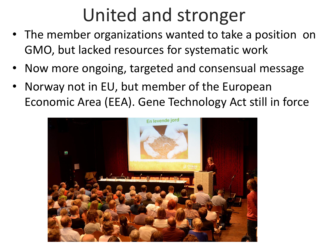## United and stronger

- The member organizations wanted to take a position on GMO, but lacked resources for systematic work
- Now more ongoing, targeted and consensual message
- Norway not in EU, but member of the European Economic Area (EEA). Gene Technology Act still in force

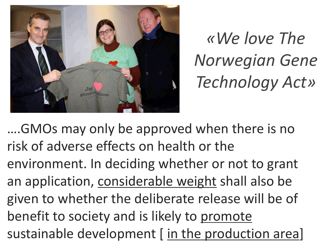

*«We love The Norwegian Gene Technology Act»*

….GMOs may only be approved when there is no risk of adverse effects on health or the environment. In deciding whether or not to grant an application, considerable weight shall also be given to whether the deliberate release will be of benefit to society and is likely to promote sustainable development [in the production area]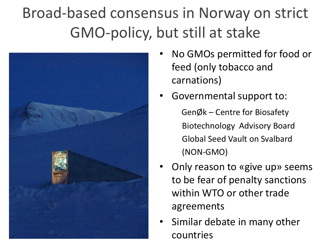## Broad-based consensus in Norway on strict GMO-policy, but still at stake



- No GMOs permitted for food or feed (only tobacco and carnations)
- Governmental support to: GenØk – Centre for Biosafety Biotechnology Advisory Board Global Seed Vault on Svalbard (NON-GMO)
- Only reason to «give up» seems to be fear of penalty sanctions within WTO or other trade agreements
- Similar debate in many other countries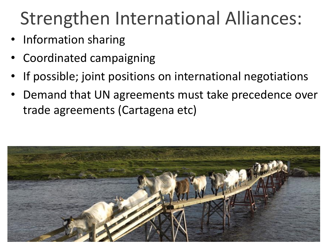## Strengthen International Alliances:

- Information sharing
- Coordinated campaigning
- If possible; joint positions on international negotiations
- Demand that UN agreements must take precedence over trade agreements (Cartagena etc)

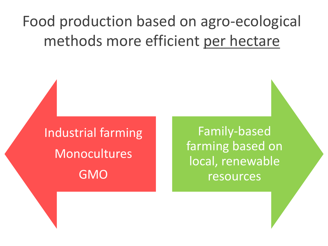#### Food production based on agro-ecological methods more efficient per hectare

Industrial farming Monocultures GMO

Family-based farming based on local, renewable resources